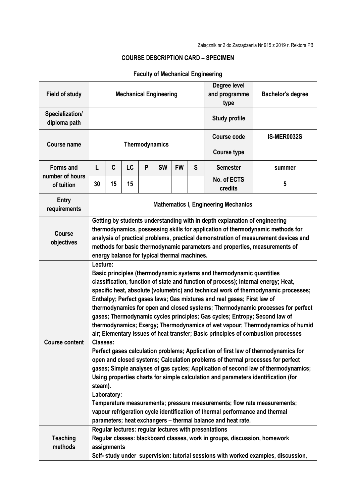|                                 |                                                                                                                                                                                                                                                                                                                                                                                  |                                                                                                                                                                                                                                                                                                                                                                                                                                                                                                                                                                                                                                                                                                                                                                                                                                                                                                                                                                                                                                                                                                                                                                                                                                                                                                      |           |                |           |           |                    | <b>Faculty of Mechanical Engineering</b> |                          |  |
|---------------------------------|----------------------------------------------------------------------------------------------------------------------------------------------------------------------------------------------------------------------------------------------------------------------------------------------------------------------------------------------------------------------------------|------------------------------------------------------------------------------------------------------------------------------------------------------------------------------------------------------------------------------------------------------------------------------------------------------------------------------------------------------------------------------------------------------------------------------------------------------------------------------------------------------------------------------------------------------------------------------------------------------------------------------------------------------------------------------------------------------------------------------------------------------------------------------------------------------------------------------------------------------------------------------------------------------------------------------------------------------------------------------------------------------------------------------------------------------------------------------------------------------------------------------------------------------------------------------------------------------------------------------------------------------------------------------------------------------|-----------|----------------|-----------|-----------|--------------------|------------------------------------------|--------------------------|--|
| <b>Field of study</b>           | <b>Mechanical Engineering</b>                                                                                                                                                                                                                                                                                                                                                    |                                                                                                                                                                                                                                                                                                                                                                                                                                                                                                                                                                                                                                                                                                                                                                                                                                                                                                                                                                                                                                                                                                                                                                                                                                                                                                      |           |                |           |           |                    | Degree level<br>and programme<br>type    | <b>Bachelor's degree</b> |  |
| Specialization/<br>diploma path | <b>Study profile</b>                                                                                                                                                                                                                                                                                                                                                             |                                                                                                                                                                                                                                                                                                                                                                                                                                                                                                                                                                                                                                                                                                                                                                                                                                                                                                                                                                                                                                                                                                                                                                                                                                                                                                      |           |                |           |           |                    |                                          |                          |  |
| <b>Course name</b>              |                                                                                                                                                                                                                                                                                                                                                                                  |                                                                                                                                                                                                                                                                                                                                                                                                                                                                                                                                                                                                                                                                                                                                                                                                                                                                                                                                                                                                                                                                                                                                                                                                                                                                                                      |           | Thermodynamics |           |           | <b>Course code</b> | <b>IS-MER0032S</b>                       |                          |  |
|                                 |                                                                                                                                                                                                                                                                                                                                                                                  |                                                                                                                                                                                                                                                                                                                                                                                                                                                                                                                                                                                                                                                                                                                                                                                                                                                                                                                                                                                                                                                                                                                                                                                                                                                                                                      |           |                |           |           |                    | <b>Course type</b>                       |                          |  |
| <b>Forms and</b>                | L                                                                                                                                                                                                                                                                                                                                                                                | C                                                                                                                                                                                                                                                                                                                                                                                                                                                                                                                                                                                                                                                                                                                                                                                                                                                                                                                                                                                                                                                                                                                                                                                                                                                                                                    | <b>LC</b> | P              | <b>SW</b> | <b>FW</b> | S                  | <b>Semester</b>                          | summer                   |  |
| number of hours<br>of tuition   | 30                                                                                                                                                                                                                                                                                                                                                                               | 15                                                                                                                                                                                                                                                                                                                                                                                                                                                                                                                                                                                                                                                                                                                                                                                                                                                                                                                                                                                                                                                                                                                                                                                                                                                                                                   | 15        |                |           |           |                    | No. of ECTS<br>credits                   | 5                        |  |
| <b>Entry</b><br>requirements    | <b>Mathematics I, Engineering Mechanics</b>                                                                                                                                                                                                                                                                                                                                      |                                                                                                                                                                                                                                                                                                                                                                                                                                                                                                                                                                                                                                                                                                                                                                                                                                                                                                                                                                                                                                                                                                                                                                                                                                                                                                      |           |                |           |           |                    |                                          |                          |  |
| <b>Course</b><br>objectives     | Getting by students understanding with in depth explanation of engineering<br>thermodynamics, possessing skills for application of thermodynamic methods for<br>analysis of practical problems, practical demonstration of measurement devices and<br>methods for basic thermodynamic parameters and properties, measurements of<br>energy balance for typical thermal machines. |                                                                                                                                                                                                                                                                                                                                                                                                                                                                                                                                                                                                                                                                                                                                                                                                                                                                                                                                                                                                                                                                                                                                                                                                                                                                                                      |           |                |           |           |                    |                                          |                          |  |
| <b>Course content</b>           |                                                                                                                                                                                                                                                                                                                                                                                  | Lecture:<br>Basic principles (thermodynamic systems and thermodynamic quantities<br>classification, function of state and function of process); Internal energy; Heat,<br>specific heat, absolute (volumetric) and technical work of thermodynamic processes;<br>Enthalpy; Perfect gases laws; Gas mixtures and real gases; First law of<br>thermodynamics for open and closed systems; Thermodynamic processes for perfect<br>gases; Thermodynamic cycles principles; Gas cycles; Entropy; Second law of<br>thermodynamics; Exergy; Thermodynamics of wet vapour; Thermodynamics of humid<br>air; Elementary issues of heat transfer; Basic principles of combustion processes<br>Classes:<br>Perfect gases calculation problems; Application of first law of thermodynamics for<br>open and closed systems; Calculation problems of thermal processes for perfect<br>gases; Simple analyses of gas cycles; Application of second law of thermodynamics;<br>Using properties charts for simple calculation and parameters identification (for<br>steam).<br>Laboratory:<br>Temperature measurements; pressure measurements; flow rate measurements;<br>vapour refrigeration cycle identification of thermal performance and thermal<br>parameters; heat exchangers - thermal balance and heat rate. |           |                |           |           |                    |                                          |                          |  |
| <b>Teaching</b><br>methods      | Regular lectures: regular lectures with presentations<br>Regular classes: blackboard classes, work in groups, discussion, homework<br>assignments<br>Self- study under supervision: tutorial sessions with worked examples, discussion,                                                                                                                                          |                                                                                                                                                                                                                                                                                                                                                                                                                                                                                                                                                                                                                                                                                                                                                                                                                                                                                                                                                                                                                                                                                                                                                                                                                                                                                                      |           |                |           |           |                    |                                          |                          |  |

## **COURSE DESCRIPTION CARD – SPECIMEN**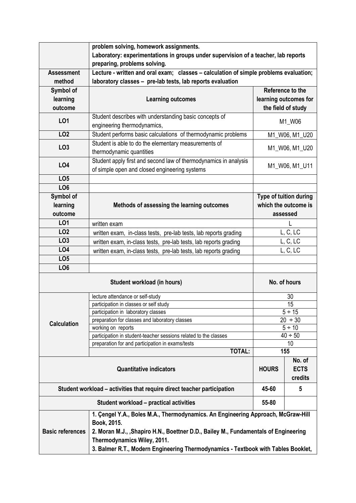|                                                                                                                                                                                                                                                                                                                                        | problem solving, homework assignments.                                                                            |                                                            |                       |  |  |  |  |  |  |
|----------------------------------------------------------------------------------------------------------------------------------------------------------------------------------------------------------------------------------------------------------------------------------------------------------------------------------------|-------------------------------------------------------------------------------------------------------------------|------------------------------------------------------------|-----------------------|--|--|--|--|--|--|
|                                                                                                                                                                                                                                                                                                                                        | Laboratory: experimentations in groups under supervision of a teacher, lab reports                                |                                                            |                       |  |  |  |  |  |  |
|                                                                                                                                                                                                                                                                                                                                        | preparing, problems solving.                                                                                      |                                                            |                       |  |  |  |  |  |  |
| <b>Assessment</b>                                                                                                                                                                                                                                                                                                                      | Lecture - written and oral exam; classes - calculation of simple problems evaluation;                             |                                                            |                       |  |  |  |  |  |  |
| method                                                                                                                                                                                                                                                                                                                                 | laboratory classes - pre-lab tests, lab reports evaluation                                                        |                                                            |                       |  |  |  |  |  |  |
| Symbol of                                                                                                                                                                                                                                                                                                                              |                                                                                                                   |                                                            | Reference to the      |  |  |  |  |  |  |
| learning                                                                                                                                                                                                                                                                                                                               | <b>Learning outcomes</b>                                                                                          |                                                            | learning outcomes for |  |  |  |  |  |  |
| outcome                                                                                                                                                                                                                                                                                                                                |                                                                                                                   |                                                            | the field of study    |  |  |  |  |  |  |
| L01                                                                                                                                                                                                                                                                                                                                    | Student describes with understanding basic concepts of<br>engineering thermodynamics,                             | M1_W06                                                     |                       |  |  |  |  |  |  |
| LO <sub>2</sub>                                                                                                                                                                                                                                                                                                                        | Student performs basic calculations of thermodynamic problems                                                     | M1_W06, M1_U20                                             |                       |  |  |  |  |  |  |
|                                                                                                                                                                                                                                                                                                                                        | Student is able to do the elementary measurements of                                                              |                                                            |                       |  |  |  |  |  |  |
| LO <sub>3</sub>                                                                                                                                                                                                                                                                                                                        | thermodynamic quantities                                                                                          | M1_W06, M1_U20                                             |                       |  |  |  |  |  |  |
| <b>LO4</b>                                                                                                                                                                                                                                                                                                                             | Student apply first and second law of thermodynamics in analysis<br>of simple open and closed engineering systems | M1_W06, M1_U11                                             |                       |  |  |  |  |  |  |
| LO <sub>5</sub>                                                                                                                                                                                                                                                                                                                        |                                                                                                                   |                                                            |                       |  |  |  |  |  |  |
| LO <sub>6</sub>                                                                                                                                                                                                                                                                                                                        |                                                                                                                   |                                                            |                       |  |  |  |  |  |  |
| Symbol of<br>learning                                                                                                                                                                                                                                                                                                                  | Methods of assessing the learning outcomes                                                                        | Type of tuition during<br>which the outcome is<br>assessed |                       |  |  |  |  |  |  |
| outcome                                                                                                                                                                                                                                                                                                                                |                                                                                                                   |                                                            |                       |  |  |  |  |  |  |
| LO1                                                                                                                                                                                                                                                                                                                                    | written exam                                                                                                      |                                                            |                       |  |  |  |  |  |  |
| <b>LO2</b>                                                                                                                                                                                                                                                                                                                             | written exam, in-class tests, pre-lab tests, lab reports grading                                                  | L, C, LC                                                   |                       |  |  |  |  |  |  |
| LO <sub>3</sub>                                                                                                                                                                                                                                                                                                                        | written exam, in-class tests, pre-lab tests, lab reports grading                                                  | L, C, LC                                                   |                       |  |  |  |  |  |  |
| LO4                                                                                                                                                                                                                                                                                                                                    | written exam, in-class tests, pre-lab tests, lab reports grading                                                  | L, C, LC                                                   |                       |  |  |  |  |  |  |
| LO <sub>5</sub>                                                                                                                                                                                                                                                                                                                        |                                                                                                                   |                                                            |                       |  |  |  |  |  |  |
| LO <sub>6</sub>                                                                                                                                                                                                                                                                                                                        |                                                                                                                   |                                                            |                       |  |  |  |  |  |  |
|                                                                                                                                                                                                                                                                                                                                        | No. of hours                                                                                                      |                                                            |                       |  |  |  |  |  |  |
|                                                                                                                                                                                                                                                                                                                                        | lecture attendance or self-study                                                                                  | 30                                                         |                       |  |  |  |  |  |  |
|                                                                                                                                                                                                                                                                                                                                        | participation in classes or self study                                                                            | $\overline{15}$                                            |                       |  |  |  |  |  |  |
|                                                                                                                                                                                                                                                                                                                                        | participation in laboratory classes                                                                               | $5 \div 15$                                                |                       |  |  |  |  |  |  |
| <b>Calculation</b>                                                                                                                                                                                                                                                                                                                     | preparation for classes and laboratory classes                                                                    | $20 \div 30$                                               |                       |  |  |  |  |  |  |
|                                                                                                                                                                                                                                                                                                                                        | working on reports                                                                                                | $5 \div 10$                                                |                       |  |  |  |  |  |  |
|                                                                                                                                                                                                                                                                                                                                        | participation in student-teacher sessions related to the classes                                                  | $40 \div 50$                                               |                       |  |  |  |  |  |  |
|                                                                                                                                                                                                                                                                                                                                        | preparation for and participation in exams/tests<br><b>TOTAL:</b>                                                 | 10<br>155                                                  |                       |  |  |  |  |  |  |
|                                                                                                                                                                                                                                                                                                                                        |                                                                                                                   |                                                            |                       |  |  |  |  |  |  |
|                                                                                                                                                                                                                                                                                                                                        | <b>HOURS</b>                                                                                                      | No. of<br><b>ECTS</b><br>credits                           |                       |  |  |  |  |  |  |
|                                                                                                                                                                                                                                                                                                                                        | Student workload – activities that require direct teacher participation                                           | 45-60                                                      | 5                     |  |  |  |  |  |  |
|                                                                                                                                                                                                                                                                                                                                        | 55-80                                                                                                             |                                                            |                       |  |  |  |  |  |  |
| 1. Çengel Y.A., Boles M.A., Thermodynamics. An Engineering Approach, McGraw-Hill<br>Book, 2015.<br><b>Basic references</b><br>2. Moran M.J., , Shapiro H.N., Boettner D.D., Bailey M., Fundamentals of Engineering<br>Thermodynamics Wiley, 2011.<br>3. Balmer R.T., Modern Engineering Thermodynamics - Textbook with Tables Booklet, |                                                                                                                   |                                                            |                       |  |  |  |  |  |  |